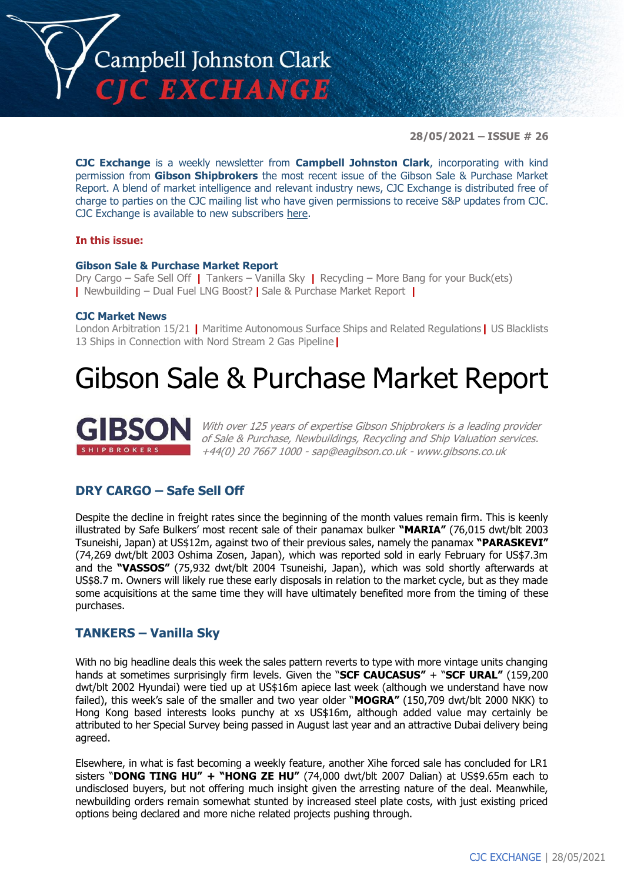

**28/05/2021 – ISSUE # 26**

**CJC Exchange** is a weekly newsletter from **Campbell Johnston Clark**, incorporating with kind permission from **Gibson Shipbrokers** the most recent issue of the Gibson Sale & Purchase Market Report. A blend of market intelligence and relevant industry news, CJC Exchange is distributed free of charge to parties on the CJC mailing list who have given permissions to receive S&P updates from CJC. CJC Exchange is available to new subscribers [here.](mailto:jamesc@cjclaw.com?subject=CJC%20Exchange%20sign-up)

#### **In this issue:**

#### **Gibson Sale & Purchase Market Report**

Dry Cargo – Safe Sell Off **|** Tankers – Vanilla Sky **|** Recycling – More Bang for your Buck(ets) **|** Newbuilding – Dual Fuel LNG Boost? **|** Sale & Purchase Market Report **|**

#### **CJC Market News**

London Arbitration 15/21 **|** Maritime Autonomous Surface Ships and Related Regulations**|** US Blacklists 13 Ships in Connection with Nord Stream 2 Gas Pipeline**|**

# Gibson Sale & Purchase Market Report



With over 125 years of expertise Gibson Shipbrokers is a leading provider of Sale & Purchase, Newbuildings, Recycling and Ship Valuation services. +44(0) 20 7667 1000 - [sap@eagibson.co.uk](mailto:sap@eagibson.co.uk) - [www.gibsons.co.uk](https://protect-eu.mimecast.com/s/VO6nCGZzRS60KqcK1jQh/)

### **DRY CARGO – Safe Sell Off**

Despite the decline in freight rates since the beginning of the month values remain firm. This is keenly illustrated by Safe Bulkers' most recent sale of their panamax bulker **"MARIA"** (76,015 dwt/blt 2003 Tsuneishi, Japan) at US\$12m, against two of their previous sales, namely the panamax **"PARASKEVI"**  (74,269 dwt/blt 2003 Oshima Zosen, Japan), which was reported sold in early February for US\$7.3m and the **"VASSOS"** (75,932 dwt/blt 2004 Tsuneishi, Japan), which was sold shortly afterwards at US\$8.7 m. Owners will likely rue these early disposals in relation to the market cycle, but as they made some acquisitions at the same time they will have ultimately benefited more from the timing of these purchases.

#### **TANKERS – Vanilla Sky**

With no big headline deals this week the sales pattern reverts to type with more vintage units changing hands at sometimes surprisingly firm levels. Given the "**SCF CAUCASUS"** + "**SCF URAL"** (159,200 dwt/blt 2002 Hyundai) were tied up at US\$16m apiece last week (although we understand have now failed), this week's sale of the smaller and two year older "**MOGRA"** (150,709 dwt/blt 2000 NKK) to Hong Kong based interests looks punchy at xs US\$16m, although added value may certainly be attributed to her Special Survey being passed in August last year and an attractive Dubai delivery being agreed.

Elsewhere, in what is fast becoming a weekly feature, another Xihe forced sale has concluded for LR1 sisters "**DONG TING HU" + "HONG ZE HU"** (74,000 dwt/blt 2007 Dalian) at US\$9.65m each to undisclosed buyers, but not offering much insight given the arresting nature of the deal. Meanwhile, newbuilding orders remain somewhat stunted by increased steel plate costs, with just existing priced options being declared and more niche related projects pushing through.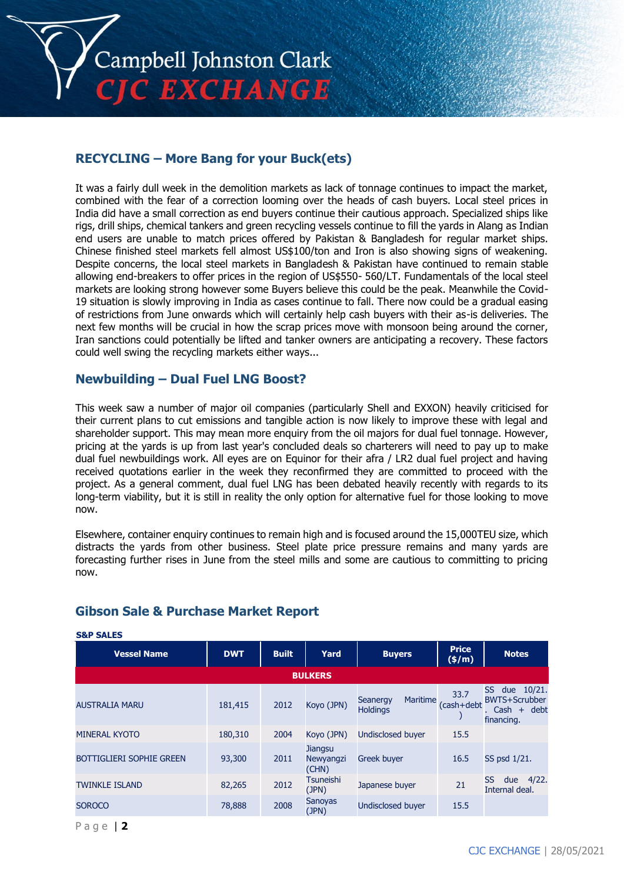

# **RECYCLING – More Bang for your Buck(ets)**

It was a fairly dull week in the demolition markets as lack of tonnage continues to impact the market, combined with the fear of a correction looming over the heads of cash buyers. Local steel prices in India did have a small correction as end buyers continue their cautious approach. Specialized ships like rigs, drill ships, chemical tankers and green recycling vessels continue to fill the yards in Alang as Indian end users are unable to match prices offered by Pakistan & Bangladesh for regular market ships. Chinese finished steel markets fell almost US\$100/ton and Iron is also showing signs of weakening. Despite concerns, the local steel markets in Bangladesh & Pakistan have continued to remain stable allowing end-breakers to offer prices in the region of US\$550- 560/LT. Fundamentals of the local steel markets are looking strong however some Buyers believe this could be the peak. Meanwhile the Covid-19 situation is slowly improving in India as cases continue to fall. There now could be a gradual easing of restrictions from June onwards which will certainly help cash buyers with their as-is deliveries. The next few months will be crucial in how the scrap prices move with monsoon being around the corner, Iran sanctions could potentially be lifted and tanker owners are anticipating a recovery. These factors could well swing the recycling markets either ways...

# **Newbuilding – Dual Fuel LNG Boost?**

This week saw a number of major oil companies (particularly Shell and EXXON) heavily criticised for their current plans to cut emissions and tangible action is now likely to improve these with legal and shareholder support. This may mean more enquiry from the oil majors for dual fuel tonnage. However, pricing at the yards is up from last year's concluded deals so charterers will need to pay up to make dual fuel newbuildings work. All eyes are on Equinor for their afra / LR2 dual fuel project and having received quotations earlier in the week they reconfirmed they are committed to proceed with the project. As a general comment, dual fuel LNG has been debated heavily recently with regards to its long-term viability, but it is still in reality the only option for alternative fuel for those looking to move now.

Elsewhere, container enquiry continues to remain high and is focused around the 15,000TEU size, which distracts the yards from other business. Steel plate price pressure remains and many yards are forecasting further rises in June from the steel mills and some are cautious to committing to pricing now.

| <b>Vessel Name</b>              | <b>DWT</b> | <b>Built</b> | Yard                                 | <b>Buyers</b>                                  | <b>Price</b><br>$(\frac{\epsilon}{m})$ | <b>Notes</b>                                                               |  |  |  |  |
|---------------------------------|------------|--------------|--------------------------------------|------------------------------------------------|----------------------------------------|----------------------------------------------------------------------------|--|--|--|--|
| <b>BULKERS</b>                  |            |              |                                      |                                                |                                        |                                                                            |  |  |  |  |
| <b>AUSTRALIA MARU</b>           | 181,415    | 2012         | Koyo (JPN)                           | <b>Maritime</b><br>Seanergy<br><b>Holdings</b> | 33.7<br>(cash+debt                     | SS<br>due 10/21.<br><b>BWTS+Scrubber</b><br>+ debt<br>. Cash<br>financing. |  |  |  |  |
| <b>MINERAL KYOTO</b>            | 180,310    | 2004         | Koyo (JPN)                           | <b>Undisclosed buyer</b>                       | 15.5                                   |                                                                            |  |  |  |  |
| <b>BOTTIGLIERI SOPHIE GREEN</b> | 93,300     | 2011         | <b>Jiangsu</b><br>Newyangzi<br>(CHN) | <b>Greek buyer</b>                             | 16.5                                   | SS psd 1/21.                                                               |  |  |  |  |
| <b>TWINKLE ISLAND</b>           | 82,265     | 2012         | <b>Tsuneishi</b><br>(JPN)            | Japanese buyer                                 | 21                                     | 4/22.<br>SS<br>due<br>Internal deal.                                       |  |  |  |  |
| <b>SOROCO</b>                   | 78,888     | 2008         | <b>Sanoyas</b><br>(JPN)              | <b>Undisclosed buyer</b>                       | 15.5                                   |                                                                            |  |  |  |  |

# **Gibson Sale & Purchase Market Report**

**S&P SALES**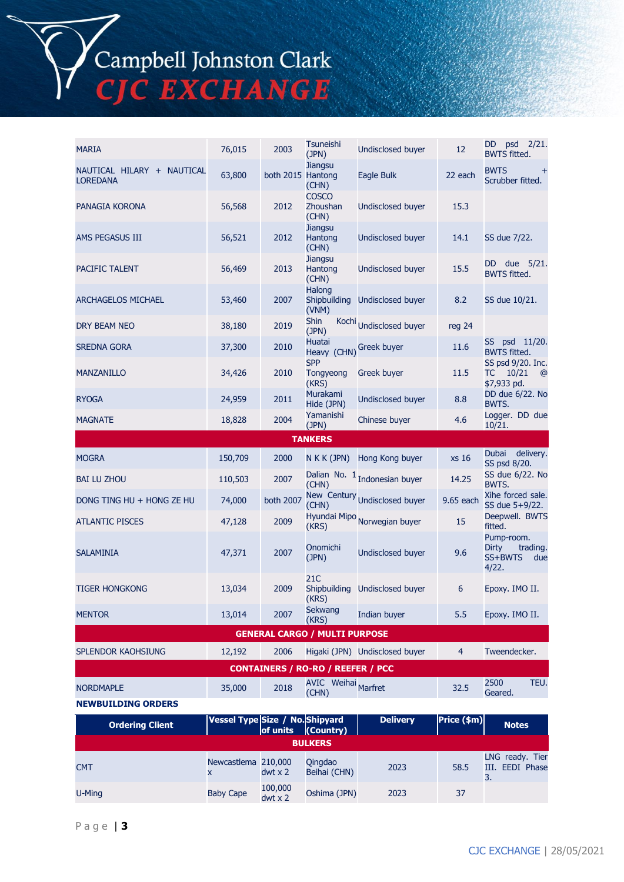Campbell Johnston Clark<br>CJC EXCHANGE

| <b>MARIA</b>                                  | 76,015  | 2003              | Tsuneishi<br>(JPN)                       | <b>Undisclosed buyer</b>        | 12             | DD psd 2/21.<br><b>BWTS fitted.</b>                           |  |  |
|-----------------------------------------------|---------|-------------------|------------------------------------------|---------------------------------|----------------|---------------------------------------------------------------|--|--|
| NAUTICAL HILARY + NAUTICAL<br><b>LOREDANA</b> | 63,800  | both 2015 Hantong | <b>Jiangsu</b><br>(CHN)                  | Eagle Bulk                      | 22 each        | <b>BWTS</b><br>$^{+}$<br>Scrubber fitted.                     |  |  |
| PANAGIA KORONA                                | 56,568  | 2012              | <b>COSCO</b><br>Zhoushan<br>(CHN)        | <b>Undisclosed buyer</b>        | 15.3           |                                                               |  |  |
| AMS PEGASUS III                               | 56,521  | 2012              | <b>Jiangsu</b><br>Hantong<br>(CHN)       | Undisclosed buyer               | 14.1           | SS due 7/22.                                                  |  |  |
| PACIFIC TALENT                                | 56,469  | 2013              | <b>Jiangsu</b><br>Hantong<br>(CHN)       | Undisclosed buyer               | 15.5           | DD due 5/21.<br><b>BWTS fitted.</b>                           |  |  |
| <b>ARCHAGELOS MICHAEL</b>                     | 53,460  | 2007              | Halong<br>Shipbuilding<br>(VNM)          | Undisclosed buyer               | 8.2            | SS due 10/21.                                                 |  |  |
| DRY BEAM NEO                                  | 38,180  | 2019              | <b>Shin</b><br>(JPN)                     | Kochi Undisclosed buyer         | reg 24         |                                                               |  |  |
| <b>SREDNA GORA</b>                            | 37,300  | 2010              | Huatai<br>Heavy (CHN) Greek buyer        |                                 | 11.6           | SS psd 11/20.<br><b>BWTS fitted.</b>                          |  |  |
| <b>MANZANILLO</b>                             | 34,426  | 2010              | <b>SPP</b><br>Tongyeong<br>(KRS)         | Greek buyer                     | 11.5           | SS psd 9/20. Inc.<br>10/21<br>ТC<br>$^{\circ}$<br>\$7,933 pd. |  |  |
| <b>RYOGA</b>                                  | 24,959  | 2011              | Murakami<br>Hide (JPN)                   | <b>Undisclosed buyer</b>        | 8.8            | DD due 6/22. No<br>BWTS.                                      |  |  |
| <b>MAGNATE</b>                                | 18,828  | 2004              | Yamanishi<br>(JPN)                       | Chinese buyer                   | 4.6            | Logger. DD due<br>10/21.                                      |  |  |
|                                               |         |                   | <b>TANKERS</b>                           |                                 |                |                                                               |  |  |
| <b>MOGRA</b>                                  | 150,709 | 2000              | N K K (JPN)                              | Hong Kong buyer                 | xs 16          | Dubai delivery.<br>SS psd 8/20.                               |  |  |
| <b>BAI LU ZHOU</b>                            | 110,503 | 2007              | (CHN)                                    | Dalian No. $1$ Indonesian buyer | 14.25          | SS due 6/22. No<br>BWTS.                                      |  |  |
| DONG TING HU + HONG ZE HU                     | 74,000  | both 2007         | (CHN)                                    | New Century Undisclosed buyer   | 9.65 each      | Xihe forced sale.<br>SS due 5+9/22.                           |  |  |
| <b>ATLANTIC PISCES</b>                        | 47,128  | 2009              | (KRS)                                    | Hyundai Mipo Norwegian buyer    | 15             | Deepwell. BWTS<br>fitted.                                     |  |  |
| <b>SALAMINIA</b>                              | 47,371  | 2007              | Onomichi<br>(JPN)                        | <b>Undisclosed buyer</b>        | 9.6            | Pump-room.<br>Dirty<br>trading.<br>SS+BWTS<br>due<br>4/22.    |  |  |
| <b>TIGER HONGKONG</b>                         | 13,034  | 2009              | 21C<br>Shipbuilding<br>(KRS)             | Undisclosed buyer               | 6              | Epoxy. IMO II.                                                |  |  |
| <b>MENTOR</b>                                 | 13,014  | 2007              | Sekwang<br>(KRS)                         | Indian buyer                    | 5.5            | Epoxy. IMO II.                                                |  |  |
| <b>GENERAL CARGO / MULTI PURPOSE</b>          |         |                   |                                          |                                 |                |                                                               |  |  |
| SPLENDOR KAOHSIUNG                            | 12,192  | 2006              |                                          | Higaki (JPN) Undisclosed buyer  | $\overline{4}$ | Tweendecker.                                                  |  |  |
|                                               |         |                   | <b>CONTAINERS / RO-RO / REEFER / PCC</b> |                                 |                |                                                               |  |  |
| <b>NORDMAPLE</b><br><b>NEWBUILDING ORDERS</b> | 35,000  | 2018              | AVIC Weihai Marfret<br>(CHN)             |                                 | 32.5           | 2500<br>TEU.<br>Geared.                                       |  |  |
|                                               |         |                   |                                          |                                 |                |                                                               |  |  |

| <b>Ordering Client</b> | Vessel Type Size / No. Shipyard<br>  Of units (Country) |                           |                         | <b>Delivery</b> | Price (\$m) | <b>Notes</b>                             |  |  |
|------------------------|---------------------------------------------------------|---------------------------|-------------------------|-----------------|-------------|------------------------------------------|--|--|
| <b>BULKERS</b>         |                                                         |                           |                         |                 |             |                                          |  |  |
| <b>CMT</b>             | Newcastlema 210,000                                     | $dwt \times 2$            | Qingdao<br>Beihai (CHN) | 2023            | 58.5        | LNG ready. Tier<br>III. EEDI Phase<br>3. |  |  |
| U-Ming                 | <b>Baby Cape</b>                                        | 100,000<br>$dwt \times 2$ | Oshima (JPN)            | 2023            | 37          |                                          |  |  |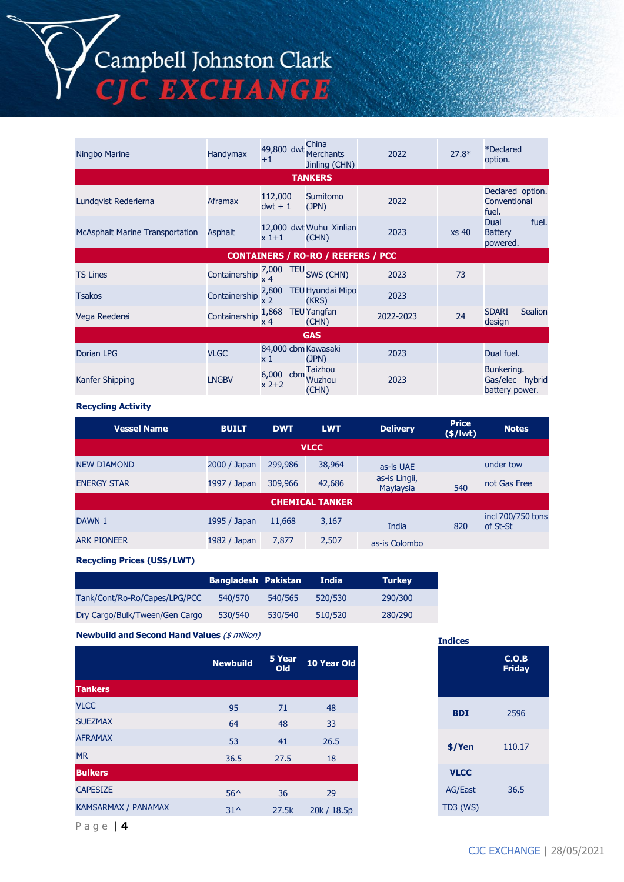# Campbell Johnston Clark<br>CJC EXCHANGE

| Ningbo Marine                          | Handymax       | 49,800 dwt<br>$+1$         | China<br><b>Merchants</b><br>Jinling (CHN) | 2022      | $27.8*$          | <i><b>*Declared</b></i><br>option.              |  |
|----------------------------------------|----------------|----------------------------|--------------------------------------------|-----------|------------------|-------------------------------------------------|--|
|                                        |                |                            | <b>TANKERS</b>                             |           |                  |                                                 |  |
| Lundqvist Rederierna                   | Aframax        | 112,000<br>$dwt + 1$       | Sumitomo<br>(JPN)                          | 2022      |                  | Declared option.<br>Conventional<br>fuel.       |  |
| <b>McAsphalt Marine Transportation</b> | <b>Asphalt</b> | x 1+1                      | 12,000 dwt Wuhu Xinlian<br>(CHN)           | 2023      | xs <sub>40</sub> | fuel.<br>Dual<br><b>Battery</b><br>powered.     |  |
|                                        |                |                            | <b>CONTAINERS / RO-RO / REEFERS / PCC</b>  |           |                  |                                                 |  |
| <b>TS Lines</b>                        | Containership  | 7,000<br><b>TEU</b><br>x 4 | SWS (CHN)                                  | 2023      | 73               |                                                 |  |
| <b>Tsakos</b>                          | Containership  | 2,800<br>x <sub>2</sub>    | <b>TEU Hyundai Mipo</b><br>(KRS)           | 2023      |                  |                                                 |  |
| Vega Reederei                          | Containership  | 1,868<br>x 4               | <b>TEU Yangfan</b><br>(CHN)                | 2022-2023 | 24               | <b>Sealion</b><br><b>SDARI</b><br>design        |  |
| <b>GAS</b>                             |                |                            |                                            |           |                  |                                                 |  |
| <b>Dorian LPG</b>                      | <b>VLGC</b>    | 84,000 cbm Kawasaki<br>x 1 | (JPN)                                      | 2023      |                  | Dual fuel.                                      |  |
| Kanfer Shipping                        | <b>LNGBV</b>   | 6,000 cbm<br>$x$ 2+2       | <b>Taizhou</b><br><b>Wuzhou</b><br>(CHN)   | 2023      |                  | Bunkering.<br>Gas/elec hybrid<br>battery power. |  |

#### **Recycling Activity**

| <b>Vessel Name</b> | <b>BUILT</b> | <b>DWT</b> | <b>LWT</b>             | <b>Delivery</b>            | <b>Price</b><br>$(*)$ lwt $)$ | <b>Notes</b>                  |  |  |  |  |
|--------------------|--------------|------------|------------------------|----------------------------|-------------------------------|-------------------------------|--|--|--|--|
| <b>VLCC</b>        |              |            |                        |                            |                               |                               |  |  |  |  |
| <b>NEW DIAMOND</b> | 2000 / Japan | 299,986    | 38,964                 | as-is UAE                  |                               | under tow                     |  |  |  |  |
| <b>ENERGY STAR</b> | 1997 / Japan | 309,966    | 42,686                 | as-is Lingii,<br>Maylaysia | 540                           | not Gas Free                  |  |  |  |  |
|                    |              |            | <b>CHEMICAL TANKER</b> |                            |                               |                               |  |  |  |  |
| DAWN 1             | 1995 / Japan | 11,668     | 3,167                  | India                      | 820                           | incl 700/750 tons<br>of St-St |  |  |  |  |
| <b>ARK PIONEER</b> | 1982 / Japan | 7,877      | 2,507                  | as-is Colombo              |                               |                               |  |  |  |  |

**Recycling Prices (US\$/LWT)**

|                                | <b>Bangladesh Pakistan</b> |         | <b>India</b> | <b>Turkey</b> |
|--------------------------------|----------------------------|---------|--------------|---------------|
| Tank/Cont/Ro-Ro/Capes/LPG/PCC  | 540/570                    | 540/565 | 520/530      | 290/300       |
| Dry Cargo/Bulk/Tween/Gen Cargo | 530/540                    | 530/540 | 510/520      | 280/290       |

**Newbuild and Second Hand Values** (\$ million)

|                            | <b>Newbuild</b> | 5 Year<br><b>Old</b> | 10 Year Old |
|----------------------------|-----------------|----------------------|-------------|
| <b>Tankers</b>             |                 |                      |             |
| <b>VLCC</b>                | 95              | 71                   | 48          |
| <b>SUEZMAX</b>             | 64              | 48                   | 33          |
| <b>AFRAMAX</b>             | 53              | 41                   | 26.5        |
| <b>MR</b>                  | 36.5            | 27.5                 | 18          |
| <b>Bulkers</b>             |                 |                      |             |
| <b>CAPESIZE</b>            | $56^{\wedge}$   | 36                   | 29          |
| <b>KAMSARMAX / PANAMAX</b> | $31^{\wedge}$   | 27.5k                | 20k / 18.5p |

#### **Indices**

| Year<br>Old | 10 Year Old |
|-------------|-------------|
| 71          | 48          |
| 48          | 33          |
| 41          | 26.5        |
| 27.5        | 18          |
|             |             |
| 36          | 29          |
| 27.5k       | 20k / 18.5p |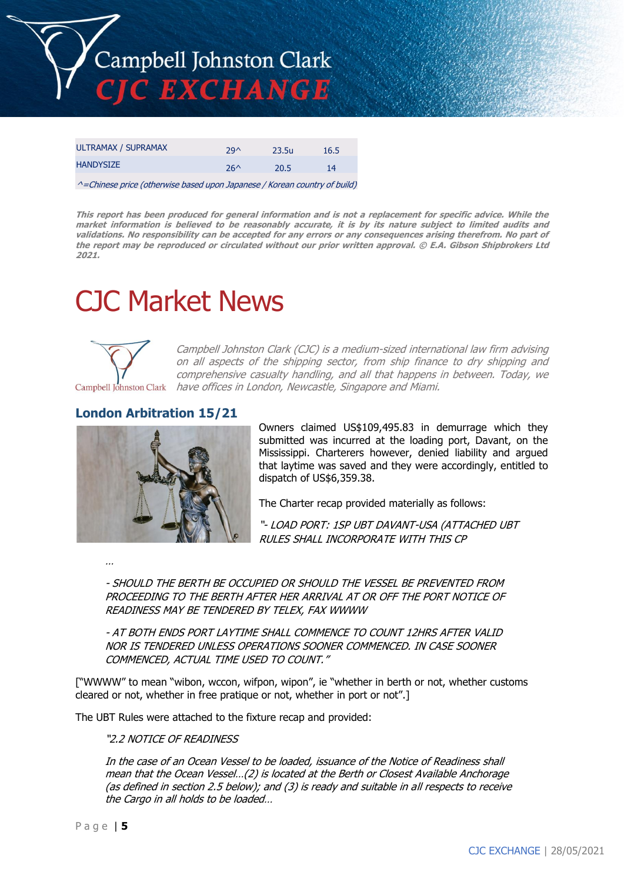

| ULTRAMAX / SUPRAMAX | 29 <sub>0</sub> | 23.5u | 16.5 |
|---------------------|-----------------|-------|------|
| <b>HANDYSIZE</b>    | $26^$           | 20.5  | 14   |

^=Chinese price (otherwise based upon Japanese / Korean country of build)

**This report has been produced for general information and is not a replacement for specific advice. While the market information is believed to be reasonably accurate, it is by its nature subject to limited audits and validations. No responsibility can be accepted for any errors or any consequences arising therefrom. No part of the report may be reproduced or circulated without our prior written approval. © E.A. Gibson Shipbrokers Ltd 2021.**

# CJC Market News



Campbell Johnston Clark (CJC) is a medium-sized international law firm advising on all aspects of the shipping sector, from ship finance to dry shipping and comprehensive casualty handling, and all that happens in between. Today, we Campbell Johnston Clark have offices in London, Newcastle, Singapore and Miami.

# **London Arbitration 15/21**



Owners claimed US\$109,495.83 in demurrage which they submitted was incurred at the loading port, Davant, on the Mississippi. Charterers however, denied liability and argued that laytime was saved and they were accordingly, entitled to dispatch of US\$6,359.38.

The Charter recap provided materially as follows:

"- LOAD PORT: 1SP UBT DAVANT-USA (ATTACHED UBT RULES SHALL INCORPORATE WITH THIS CP

…

- SHOULD THE BERTH BE OCCUPIED OR SHOULD THE VESSEL BE PREVENTED FROM PROCEEDING TO THE BERTH AFTER HER ARRIVAL AT OR OFF THE PORT NOTICE OF READINESS MAY BE TENDERED BY TELEX, FAX WWWW

- AT BOTH ENDS PORT LAYTIME SHALL COMMENCE TO COUNT 12HRS AFTER VALID NOR IS TENDERED UNLESS OPERATIONS SOONER COMMENCED. IN CASE SOONER COMMENCED, ACTUAL TIME USED TO COUNT."

["WWWW" to mean "wibon, wccon, wifpon, wipon", ie "whether in berth or not, whether customs cleared or not, whether in free pratique or not, whether in port or not".]

The UBT Rules were attached to the fixture recap and provided:

#### "2.2 NOTICE OF READINESS

In the case of an Ocean Vessel to be loaded, issuance of the Notice of Readiness shall mean that the Ocean Vessel…(2) is located at the Berth or Closest Available Anchorage (as defined in section 2.5 below); and (3) is ready and suitable in all respects to receive the Cargo in all holds to be loaded…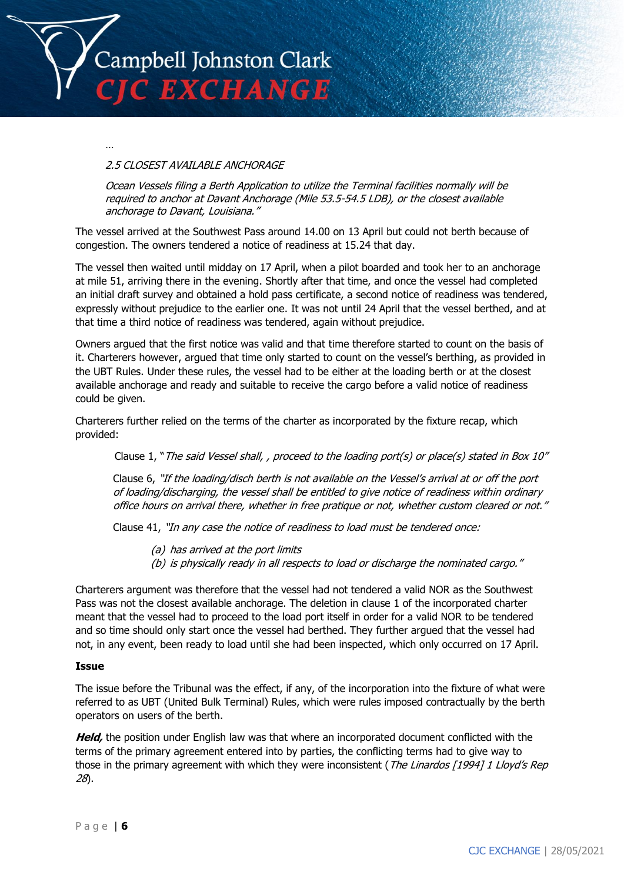

…

#### 2.5 CLOSEST AVAILABLE ANCHORAGE

Ocean Vessels filing a Berth Application to utilize the Terminal facilities normally will be required to anchor at Davant Anchorage (Mile 53.5-54.5 LDB), or the closest available anchorage to Davant, Louisiana."

The vessel arrived at the Southwest Pass around 14.00 on 13 April but could not berth because of congestion. The owners tendered a notice of readiness at 15.24 that day.

The vessel then waited until midday on 17 April, when a pilot boarded and took her to an anchorage at mile 51, arriving there in the evening. Shortly after that time, and once the vessel had completed an initial draft survey and obtained a hold pass certificate, a second notice of readiness was tendered, expressly without prejudice to the earlier one. It was not until 24 April that the vessel berthed, and at that time a third notice of readiness was tendered, again without prejudice.

Owners argued that the first notice was valid and that time therefore started to count on the basis of it. Charterers however, argued that time only started to count on the vessel's berthing, as provided in the UBT Rules. Under these rules, the vessel had to be either at the loading berth or at the closest available anchorage and ready and suitable to receive the cargo before a valid notice of readiness could be given.

Charterers further relied on the terms of the charter as incorporated by the fixture recap, which provided:

Clause 1, "The said Vessel shall, , proceed to the loading port(s) or place(s) stated in Box 10"

Clause 6, "If the loading/disch berth is not available on the Vessel's arrival at or off the port of loading/discharging, the vessel shall be entitled to give notice of readiness within ordinary office hours on arrival there, whether in free pratique or not, whether custom cleared or not."

Clause 41, "In any case the notice of readiness to load must be tendered once:

- (a) has arrived at the port limits
- (b) is physically ready in all respects to load or discharge the nominated cargo."

Charterers argument was therefore that the vessel had not tendered a valid NOR as the Southwest Pass was not the closest available anchorage. The deletion in clause 1 of the incorporated charter meant that the vessel had to proceed to the load port itself in order for a valid NOR to be tendered and so time should only start once the vessel had berthed. They further argued that the vessel had not, in any event, been ready to load until she had been inspected, which only occurred on 17 April.

#### **Issue**

The issue before the Tribunal was the effect, if any, of the incorporation into the fixture of what were referred to as UBT (United Bulk Terminal) Rules, which were rules imposed contractually by the berth operators on users of the berth.

**Held,** the position under English law was that where an incorporated document conflicted with the terms of the primary agreement entered into by parties, the conflicting terms had to give way to those in the primary agreement with which they were inconsistent (The Linardos [1994] 1 Lloyd's Rep 28).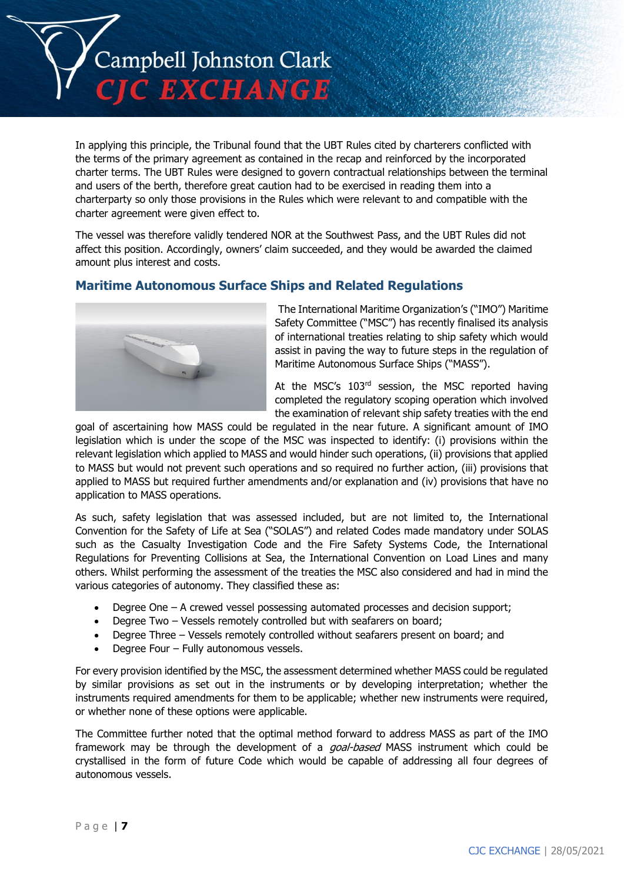

In applying this principle, the Tribunal found that the UBT Rules cited by charterers conflicted with the terms of the primary agreement as contained in the recap and reinforced by the incorporated charter terms. The UBT Rules were designed to govern contractual relationships between the terminal and users of the berth, therefore great caution had to be exercised in reading them into a charterparty so only those provisions in the Rules which were relevant to and compatible with the charter agreement were given effect to.

The vessel was therefore validly tendered NOR at the Southwest Pass, and the UBT Rules did not affect this position. Accordingly, owners' claim succeeded, and they would be awarded the claimed amount plus interest and costs.

# **Maritime Autonomous Surface Ships and Related Regulations**



The International Maritime Organization's ("IMO") Maritime Safety Committee ("MSC") has recently finalised its analysis of international treaties relating to ship safety which would assist in paving the way to future steps in the regulation of Maritime Autonomous Surface Ships ("MASS").

At the MSC's 103<sup>rd</sup> session, the MSC reported having completed the regulatory scoping operation which involved the examination of relevant ship safety treaties with the end

goal of ascertaining how MASS could be regulated in the near future. A significant amount of IMO legislation which is under the scope of the MSC was inspected to identify: (i) provisions within the relevant legislation which applied to MASS and would hinder such operations, (ii) provisions that applied to MASS but would not prevent such operations and so required no further action, (iii) provisions that applied to MASS but required further amendments and/or explanation and (iv) provisions that have no application to MASS operations.

As such, safety legislation that was assessed included, but are not limited to, the International Convention for the Safety of Life at Sea ("SOLAS") and related Codes made mandatory under SOLAS such as the Casualty Investigation Code and the Fire Safety Systems Code, the International Regulations for Preventing Collisions at Sea, the International Convention on Load Lines and many others. Whilst performing the assessment of the treaties the MSC also considered and had in mind the various categories of autonomy. They classified these as:

- Degree One A crewed vessel possessing automated processes and decision support;
- Degree Two Vessels remotely controlled but with seafarers on board;
- Degree Three Vessels remotely controlled without seafarers present on board; and
- Degree Four Fully autonomous vessels.

For every provision identified by the MSC, the assessment determined whether MASS could be regulated by similar provisions as set out in the instruments or by developing interpretation; whether the instruments required amendments for them to be applicable; whether new instruments were required, or whether none of these options were applicable.

The Committee further noted that the optimal method forward to address MASS as part of the IMO framework may be through the development of a *goal-based* MASS instrument which could be crystallised in the form of future Code which would be capable of addressing all four degrees of autonomous vessels.